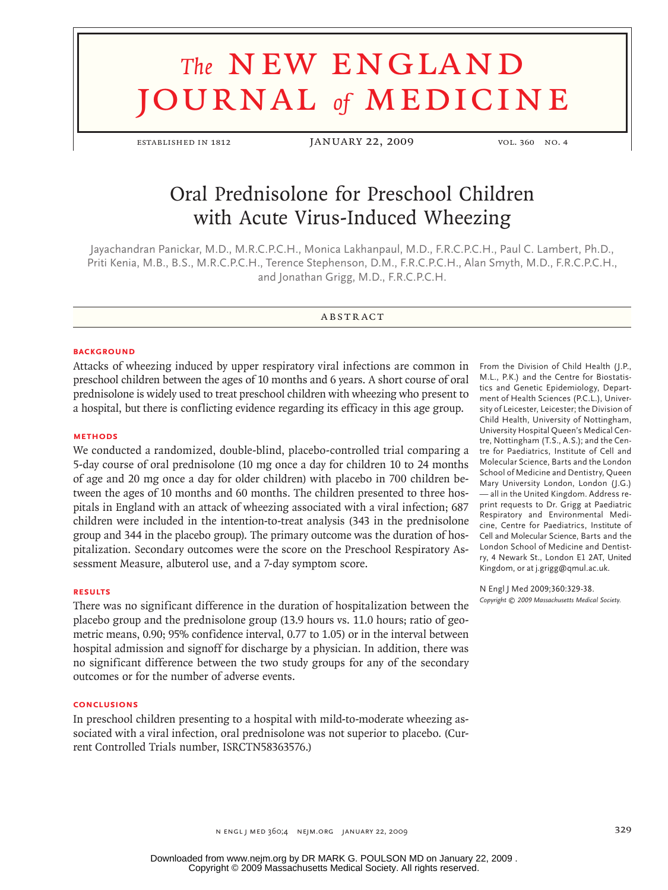# **The NEW ENGLAND** journal *of* medicine

ESTABLISHED IN 1812 JANUARY 22, 2009 vol. 360 NO. 4

# Oral Prednisolone for Preschool Children with Acute Virus-Induced Wheezing

Jayachandran Panickar, M.D., M.R.C.P.C.H., Monica Lakhanpaul, M.D., F.R.C.P.C.H., Paul C. Lambert, Ph.D., Priti Kenia, M.B., B.S., M.R.C.P.C.H., Terence Stephenson, D.M., F.R.C.P.C.H., Alan Smyth, M.D., F.R.C.P.C.H., and Jonathan Grigg, M.D., F.R.C.P.C.H.

#### **ABSTRACT**

#### **BACKGROUND**

Attacks of wheezing induced by upper respiratory viral infections are common in preschool children between the ages of 10 months and 6 years. A short course of oral prednisolone is widely used to treat preschool children with wheezing who present to a hospital, but there is conflicting evidence regarding its efficacy in this age group.

#### **Methods**

We conducted a randomized, double-blind, placebo-controlled trial comparing a 5-day course of oral prednisolone (10 mg once a day for children 10 to 24 months of age and 20 mg once a day for older children) with placebo in 700 children between the ages of 10 months and 60 months. The children presented to three hospitals in England with an attack of wheezing associated with a viral infection; 687 children were included in the intention-to-treat analysis (343 in the prednisolone group and 344 in the placebo group). The primary outcome was the duration of hospitalization. Secondary outcomes were the score on the Preschool Respiratory Assessment Measure, albuterol use, and a 7-day symptom score.

#### **Results**

There was no significant difference in the duration of hospitalization between the placebo group and the prednisolone group (13.9 hours vs. 11.0 hours; ratio of geometric means, 0.90; 95% confidence interval, 0.77 to 1.05) or in the interval between hospital admission and signoff for discharge by a physician. In addition, there was no significant difference between the two study groups for any of the secondary outcomes or for the number of adverse events.

#### **Conclusions**

In preschool children presenting to a hospital with mild-to-moderate wheezing associated with a viral infection, oral prednisolone was not superior to placebo. (Current Controlled Trials number, ISRCTN58363576.)

From the Division of Child Health (J.P., M.L., P.K.) and the Centre for Biostatistics and Genetic Epidemiology, Department of Health Sciences (P.C.L.), University of Leicester, Leicester; the Division of Child Health, University of Nottingham, University Hospital Queen's Medical Centre, Nottingham (T.S., A.S.); and the Centre for Paediatrics, Institute of Cell and Molecular Science, Barts and the London School of Medicine and Dentistry, Queen Mary University London, London (J.G.) — all in the United Kingdom. Address reprint requests to Dr. Grigg at Paediatric Respiratory and Environmental Medicine, Centre for Paediatrics, Institute of Cell and Molecular Science, Barts and the London School of Medicine and Dentistry, 4 Newark St., London E1 2AT, United Kingdom, or at j.grigg@qmul.ac.uk.

N Engl J Med 2009;360:329-38. *Copyright © 2009 Massachusetts Medical Society.*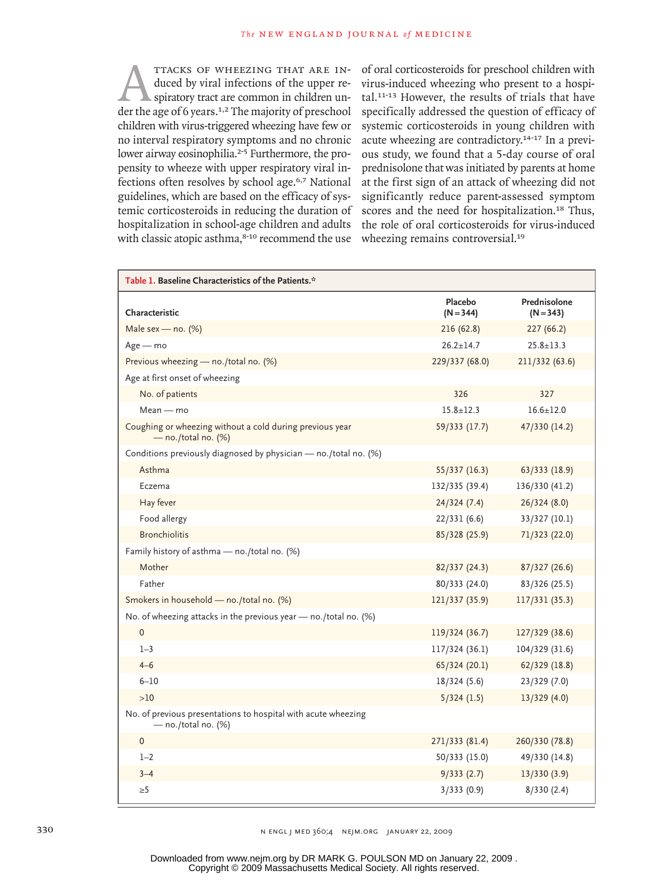TTACKS OF WHEEZING THAT ARE IN-<br>duced by viral infections of the upper re-<br>spiratory tract are common in children un-<br>der the age of 6 years.<sup>1,2</sup> The majority of preschool duced by viral infections of the upper respiratory tract are common in children unchildren with virus-triggered wheezing have few or no interval respiratory symptoms and no chronic lower airway eosinophilia.<sup>2-5</sup> Furthermore, the propensity to wheeze with upper respiratory viral infections often resolves by school age.6,7 National guidelines, which are based on the efficacy of systemic corticosteroids in reducing the duration of hospitalization in school-age children and adults with classic atopic asthma, 8-10 recommend the use

of oral corticosteroids for preschool children with virus-induced wheezing who present to a hospital.11-13 However, the results of trials that have specifically addressed the question of efficacy of systemic corticosteroids in young children with acute wheezing are contradictory.14-17 In a previous study, we found that a 5-day course of oral prednisolone that was initiated by parents at home at the first sign of an attack of wheezing did not significantly reduce parent-assessed symptom scores and the need for hospitalization.<sup>18</sup> Thus, the role of oral corticosteroids for virus-induced wheezing remains controversial.<sup>19</sup>

| Table 1. Baseline Characteristics of the Patients.*                                    |                        |                             |
|----------------------------------------------------------------------------------------|------------------------|-----------------------------|
| Characteristic                                                                         | Placebo<br>$(N = 344)$ | Prednisolone<br>$(N = 343)$ |
| Male sex - no. $(%)$                                                                   | 216(62.8)              | 227(66.2)                   |
| $Age - mo$                                                                             | $26.2 + 14.7$          | $25.8 + 13.3$               |
| Previous wheezing - no./total no. (%)                                                  | 229/337 (68.0)         | 211/332 (63.6)              |
| Age at first onset of wheezing                                                         |                        |                             |
| No. of patients                                                                        | 326                    | 327                         |
| $Mean - mo$                                                                            | $15.8 + 12.3$          | $16.6 + 12.0$               |
| Coughing or wheezing without a cold during previous year<br>$-$ no./total no. (%)      | 59/333 (17.7)          | 47/330 (14.2)               |
| Conditions previously diagnosed by physician - no./total no. (%)                       |                        |                             |
| Asthma                                                                                 | 55/337(16.3)           | 63/333 (18.9)               |
| Eczema                                                                                 | 132/335 (39.4)         | 136/330 (41.2)              |
| Hay fever                                                                              | 24/324(7.4)            | 26/324(8.0)                 |
| Food allergy                                                                           | 22/331(6.6)            | 33/327 (10.1)               |
| <b>Bronchiolitis</b>                                                                   | 85/328 (25.9)          | 71/323 (22.0)               |
| Family history of asthma - no./total no. (%)                                           |                        |                             |
| Mother                                                                                 | 82/337 (24.3)          | 87/327 (26.6)               |
| Father                                                                                 | 80/333 (24.0)          | 83/326 (25.5)               |
| Smokers in household - no./total no. (%)                                               | 121/337 (35.9)         | 117/331 (35.3)              |
| No. of wheezing attacks in the previous year - no./total no. (%)                       |                        |                             |
| $\Omega$                                                                               | 119/324 (36.7)         | 127/329 (38.6)              |
| $1 - 3$                                                                                | 117/324 (36.1)         | 104/329 (31.6)              |
| $4 - 6$                                                                                | 65/324(20.1)           | 62/329 (18.8)               |
| $6 - 10$                                                                               | 18/324(5.6)            | 23/329(7.0)                 |
| >10                                                                                    | 5/324(1.5)             | 13/329(4.0)                 |
| No. of previous presentations to hospital with acute wheezing<br>$-$ no./total no. (%) |                        |                             |
| $\mathbf{0}$                                                                           | 271/333 (81.4)         | 260/330 (78.8)              |
| $1 - 2$                                                                                | 50/333 (15.0)          | 49/330 (14.8)               |
| $3 - 4$                                                                                | 9/333(2.7)             | 13/330(3.9)                 |
| $\geq 5$                                                                               | 3/333(0.9)             | 8/330(2.4)                  |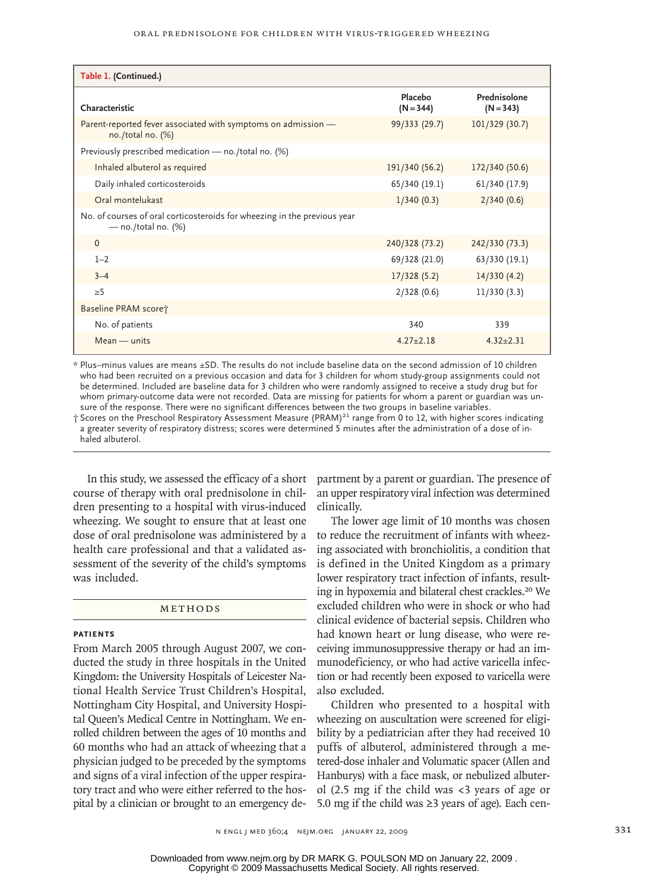#### Or al Prednisolone for Children with Virus-Triggered Wheezing

| Table 1. (Continued.)                                                                              |                        |                             |
|----------------------------------------------------------------------------------------------------|------------------------|-----------------------------|
| Characteristic                                                                                     | Placebo<br>$(N = 344)$ | Prednisolone<br>$(N = 343)$ |
| Parent-reported fever associated with symptoms on admission —<br>no./total no. $(%)$               | 99/333 (29.7)          | 101/329 (30.7)              |
| Previously prescribed medication - no./total no. (%)                                               |                        |                             |
| Inhaled albuterol as required                                                                      | 191/340 (56.2)         | 172/340 (50.6)              |
| Daily inhaled corticosteroids                                                                      | 65/340 (19.1)          | 61/340 (17.9)               |
| Oral montelukast                                                                                   | 1/340(0.3)             | 2/340(0.6)                  |
| No. of courses of oral corticosteroids for wheezing in the previous year<br>— no./total no. $(\%)$ |                        |                             |
| $\mathbf{0}$                                                                                       | 240/328 (73.2)         | 242/330 (73.3)              |
| $1 - 2$                                                                                            | 69/328 (21.0)          | 63/330 (19.1)               |
| $3 - 4$                                                                                            | 17/328(5.2)            | 14/330(4.2)                 |
| >5                                                                                                 | 2/328(0.6)             | 11/330(3.3)                 |
| Baseline PRAM scoret                                                                               |                        |                             |
| No. of patients                                                                                    | 340                    | 339                         |
| $Mean - units$                                                                                     | $4.27 + 2.18$          | $4.32 + 2.31$               |

\* Plus–minus values are means ±SD. The results do not include baseline data on the second admission of 10 children who had been recruited on a previous occasion and data for 3 children for whom study-group assignments could not be determined. Included are baseline data for 3 children who were randomly assigned to receive a study drug but for whom primary-outcome data were not recorded. Data are missing for patients for whom a parent or guardian was unsure of the response. There were no significant differences between the two groups in baseline variables.

 $\dot{\gamma}$  Scores on the Preschool Respiratory Assessment Measure (PRAM)<sup>21</sup> range from 0 to 12, with higher scores indicating a greater severity of respiratory distress; scores were determined 5 minutes after the administration of a dose of inhaled albuterol.

course of therapy with oral prednisolone in children presenting to a hospital with virus-induced wheezing. We sought to ensure that at least one dose of oral prednisolone was administered by a health care professional and that a validated assessment of the severity of the child's symptoms was included.

#### **Patients**

From March 2005 through August 2007, we conducted the study in three hospitals in the United Kingdom: the University Hospitals of Leicester National Health Service Trust Children's Hospital, Nottingham City Hospital, and University Hospital Queen's Medical Centre in Nottingham. We enrolled children between the ages of 10 months and 60 months who had an attack of wheezing that a physician judged to be preceded by the symptoms and signs of a viral infection of the upper respiratory tract and who were either referred to the hospital by a clinician or brought to an emergency de-

In this study, we assessed the efficacy of a short partment by a parent or guardian. The presence of an upper respiratory viral infection was determined clinically.

> The lower age limit of 10 months was chosen to reduce the recruitment of infants with wheezing associated with bronchiolitis, a condition that is defined in the United Kingdom as a primary lower respiratory tract infection of infants, resulting in hypoxemia and bilateral chest crackles.20 We excluded children who were in shock or who had clinical evidence of bacterial sepsis. Children who had known heart or lung disease, who were receiving immunosuppressive therapy or had an immunodeficiency, or who had active varicella infection or had recently been exposed to varicella were also excluded.

> Children who presented to a hospital with wheezing on auscultation were screened for eligibility by a pediatrician after they had received 10 puffs of albuterol, administered through a metered-dose inhaler and Volumatic spacer (Allen and Hanburys) with a face mask, or nebulized albuterol (2.5 mg if the child was <3 years of age or 5.0 mg if the child was ≥3 years of age). Each cen-

n engl j med 360;4 nejm.org january 22, 2009 331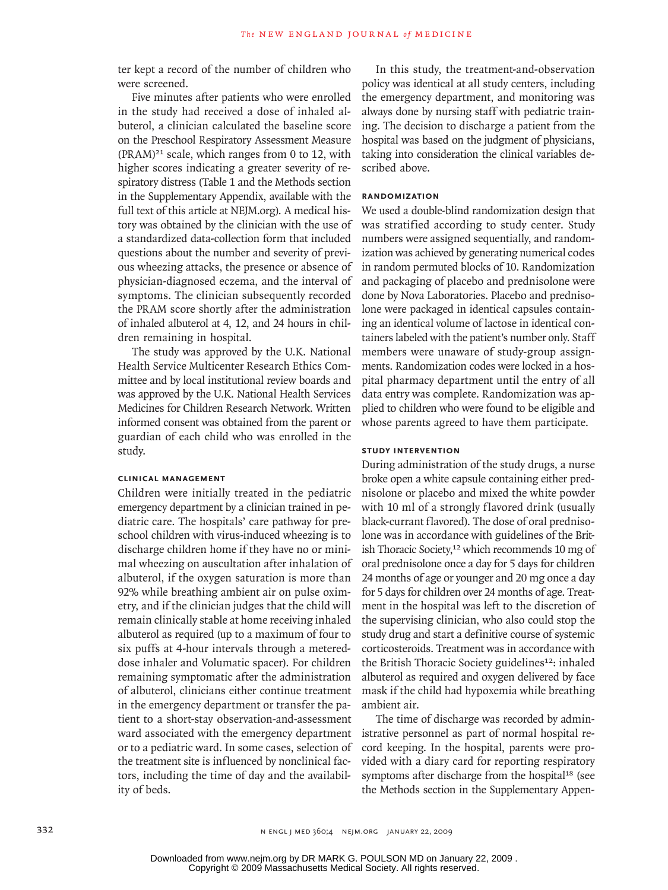ter kept a record of the number of children who were screened.

Five minutes after patients who were enrolled in the study had received a dose of inhaled albuterol, a clinician calculated the baseline score on the Preschool Respiratory Assessment Measure  $(PRAM)^{21}$  scale, which ranges from 0 to 12, with higher scores indicating a greater severity of respiratory distress (Table 1 and the Methods section in the Supplementary Appendix, available with the full text of this article at NEJM.org). A medical history was obtained by the clinician with the use of a standardized data-collection form that included questions about the number and severity of previous wheezing attacks, the presence or absence of physician-diagnosed eczema, and the interval of symptoms. The clinician subsequently recorded the PRAM score shortly after the administration of inhaled albuterol at 4, 12, and 24 hours in children remaining in hospital.

The study was approved by the U.K. National Health Service Multicenter Research Ethics Committee and by local institutional review boards and was approved by the U.K. National Health Services Medicines for Children Research Network. Written informed consent was obtained from the parent or guardian of each child who was enrolled in the study.

# **Clinical Management**

Children were initially treated in the pediatric emergency department by a clinician trained in pediatric care. The hospitals' care pathway for preschool children with virus-induced wheezing is to discharge children home if they have no or minimal wheezing on auscultation after inhalation of albuterol, if the oxygen saturation is more than 92% while breathing ambient air on pulse oximetry, and if the clinician judges that the child will remain clinically stable at home receiving inhaled albuterol as required (up to a maximum of four to six puffs at 4-hour intervals through a metereddose inhaler and Volumatic spacer). For children remaining symptomatic after the administration of albuterol, clinicians either continue treatment in the emergency department or transfer the patient to a short-stay observation-and-assessment ward associated with the emergency department or to a pediatric ward. In some cases, selection of the treatment site is influenced by nonclinical factors, including the time of day and the availability of beds.

In this study, the treatment-and-observation policy was identical at all study centers, including the emergency department, and monitoring was always done by nursing staff with pediatric training. The decision to discharge a patient from the hospital was based on the judgment of physicians, taking into consideration the clinical variables described above.

#### **Randomization**

We used a double-blind randomization design that was stratified according to study center. Study numbers were assigned sequentially, and randomization was achieved by generating numerical codes in random permuted blocks of 10. Randomization and packaging of placebo and prednisolone were done by Nova Laboratories. Placebo and prednisolone were packaged in identical capsules containing an identical volume of lactose in identical containers labeled with the patient's number only. Staff members were unaware of study-group assignments. Randomization codes were locked in a hospital pharmacy department until the entry of all data entry was complete. Randomization was applied to children who were found to be eligible and whose parents agreed to have them participate.

#### **Study Intervention**

During administration of the study drugs, a nurse broke open a white capsule containing either prednisolone or placebo and mixed the white powder with 10 ml of a strongly flavored drink (usually black-currant flavored). The dose of oral prednisolone was in accordance with guidelines of the British Thoracic Society,<sup>12</sup> which recommends 10 mg of oral prednisolone once a day for 5 days for children 24 months of age or younger and 20 mg once a day for 5 days for children over 24 months of age. Treatment in the hospital was left to the discretion of the supervising clinician, who also could stop the study drug and start a definitive course of systemic corticosteroids. Treatment was in accordance with the British Thoracic Society guidelines<sup>12</sup>: inhaled albuterol as required and oxygen delivered by face mask if the child had hypoxemia while breathing ambient air.

The time of discharge was recorded by administrative personnel as part of normal hospital record keeping. In the hospital, parents were provided with a diary card for reporting respiratory symptoms after discharge from the hospital<sup>18</sup> (see the Methods section in the Supplementary Appen-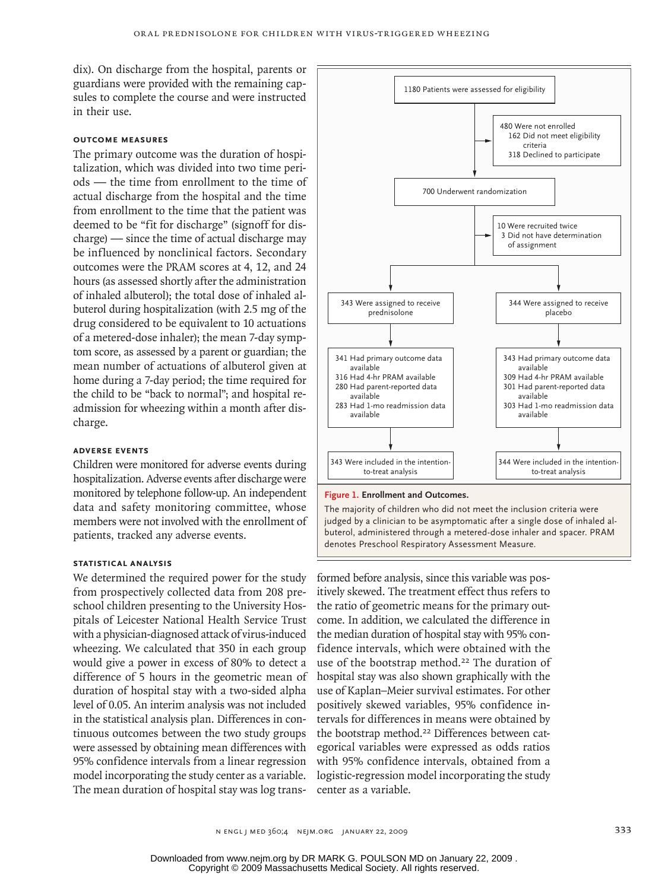dix). On discharge from the hospital, parents or guardians were provided with the remaining capsules to complete the course and were instructed in their use.

#### **Outcome Measures**

The primary outcome was the duration of hospitalization, which was divided into two time periods ― the time from enrollment to the time of actual discharge from the hospital and the time from enrollment to the time that the patient was deemed to be "fit for discharge" (signoff for discharge) ― since the time of actual discharge may be influenced by nonclinical factors. Secondary outcomes were the PRAM scores at 4, 12, and 24 hours (as assessed shortly after the administration of inhaled albuterol); the total dose of inhaled albuterol during hospitalization (with 2.5 mg of the drug considered to be equivalent to 10 actuations of a metered-dose inhaler); the mean 7-day symptom score, as assessed by a parent or guardian; the mean number of actuations of albuterol given at home during a 7-day period; the time required for the child to be "back to normal"; and hospital readmission for wheezing within a month after discharge.

#### **Adverse Events**

Children were monitored for adverse events during hospitalization. Adverse events after discharge were monitored by telephone follow-up. An independent data and safety monitoring committee, whose members were not involved with the enrollment of patients, tracked any adverse events.

#### **Statistical Analysis**

We determined the required power for the study from prospectively collected data from 208 preschool children presenting to the University Hospitals of Leicester National Health Service Trust with a physician-diagnosed attack of virus-induced wheezing. We calculated that 350 in each group would give a power in excess of 80% to detect a difference of 5 hours in the geometric mean of duration of hospital stay with a two-sided alpha level of 0.05. An interim analysis was not included in the statistical analysis plan. Differences in continuous outcomes between the two study groups were assessed by obtaining mean differences with 95% confidence intervals from a linear regression model incorporating the study center as a variable. The mean duration of hospital stay was log trans-



#### **Figure 1. Enrollment and Outcomes.**

The majority of children who did not meet the inclusion criteria were judged by a clinician to be asymptomatic after a single dose of inhaled albuterol, administered through a metered-dose inhaler and spacer. PRAM denotes Preschool Respiratory Assessment Measure.

formed before analysis, since this variable was positively skewed. The treatment effect thus refers to the ratio of geometric means for the primary outcome. In addition, we calculated the difference in the median duration of hospital stay with 95% confidence intervals, which were obtained with the use of the bootstrap method.<sup>22</sup> The duration of hospital stay was also shown graphically with the noppian bar, was also brown grapmearly with the use of Kaplan–Meier survival estimates. For other positively skewed variables, 95% confidence intervals for differences in means were obtained by **Figure 122 Differences** between cat-<br>the bootstrap method.<sup>22</sup> Differences between categorical variables were expressed as odds ratios with 95% confidence intervals, obtained from a logistic-regression model incorporating the study center as a variable. -Meier survival estimates. For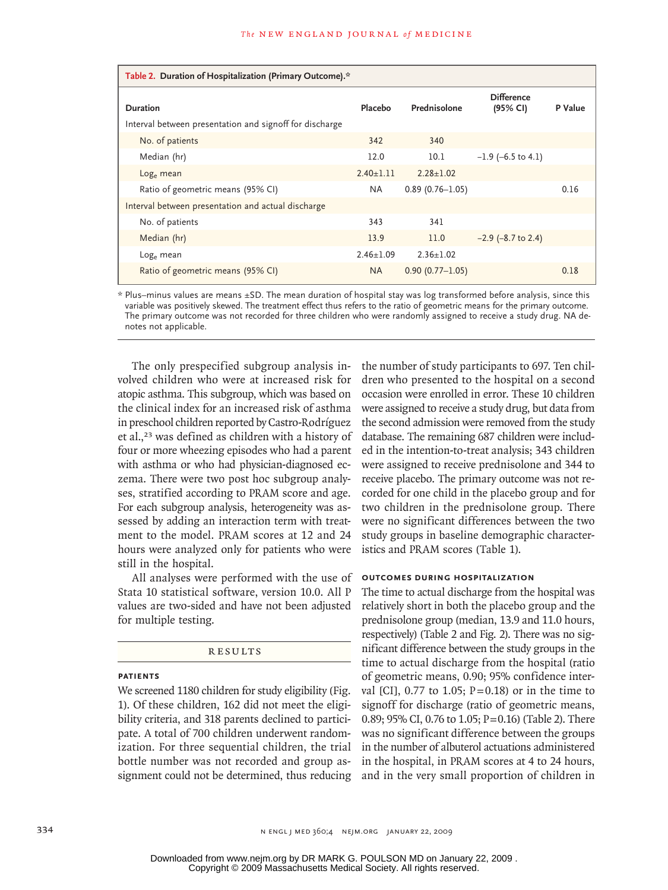| Table 2. Duration of Hospitalization (Primary Outcome).* |                 |                     |                               |         |
|----------------------------------------------------------|-----------------|---------------------|-------------------------------|---------|
| <b>Duration</b>                                          | Placebo         | Prednisolone        | <b>Difference</b><br>(95% CI) | P Value |
| Interval between presentation and signoff for discharge  |                 |                     |                               |         |
| No. of patients                                          | 342             | 340                 |                               |         |
| Median (hr)                                              | 12.0            | 10.1                | $-1.9$ (-6.5 to 4.1)          |         |
| $Loge$ mean                                              | $2.40 + 1.11$   | $2.28 + 1.02$       |                               |         |
| Ratio of geometric means (95% CI)                        | <b>NA</b>       | $0.89(0.76 - 1.05)$ |                               | 0.16    |
| Interval between presentation and actual discharge       |                 |                     |                               |         |
| No. of patients                                          | 343             | 341                 |                               |         |
| Median (hr)                                              | 13.9            | 11.0                | $-2.9$ ( $-8.7$ to 2.4)       |         |
| $Log_e$ mean                                             | $2.46 \pm 1.09$ | $2.36 + 1.02$       |                               |         |
| Ratio of geometric means (95% CI)                        | <b>NA</b>       | $0.90(0.77 - 1.05)$ |                               | 0.18    |

\* Plus–minus values are means ±SD. The mean duration of hospital stay was log transformed before analysis, since this variable was positively skewed. The treatment effect thus refers to the ratio of geometric means for the primary outcome. The primary outcome was not recorded for three children who were randomly assigned to receive a study drug. NA denotes not applicable.

The only prespecified subgroup analysis involved children who were at increased risk for atopic asthma. This subgroup, which was based on the clinical index for an increased risk of asthma in preschool children reported by Castro-Rodríguez et al.,<sup>23</sup> was defined as children with a history of four or more wheezing episodes who had a parent with asthma or who had physician-diagnosed eczema. There were two post hoc subgroup analyses, stratified according to PRAM score and age. For each subgroup analysis, heterogeneity was assessed by adding an interaction term with treatment to the model. PRAM scores at 12 and 24 hours were analyzed only for patients who were still in the hospital.

All analyses were performed with the use of Stata 10 statistical software, version 10.0. All P values are two-sided and have not been adjusted for multiple testing.

Results

#### **Patients**

We screened 1180 children for study eligibility (Fig. 1). Of these children, 162 did not meet the eligibility criteria, and 318 parents declined to participate. A total of 700 children underwent randomization. For three sequential children, the trial bottle number was not recorded and group assignment could not be determined, thus reducing the number of study participants to 697. Ten children who presented to the hospital on a second occasion were enrolled in error. These 10 children were assigned to receive a study drug, but data from the second admission were removed from the study database. The remaining 687 children were included in the intention-to-treat analysis; 343 children were assigned to receive prednisolone and 344 to receive placebo. The primary outcome was not recorded for one child in the placebo group and for two children in the prednisolone group. There were no significant differences between the two study groups in baseline demographic characteristics and PRAM scores (Table 1).

## **Outcomes during Hospitalization**

The time to actual discharge from the hospital was relatively short in both the placebo group and the prednisolone group (median, 13.9 and 11.0 hours, respectively) (Table 2 and Fig. 2). There was no significant difference between the study groups in the time to actual discharge from the hospital (ratio of geometric means, 0.90; 95% confidence interval [CI],  $0.77$  to 1.05; P=0.18) or in the time to signoff for discharge (ratio of geometric means, 0.89; 95% CI, 0.76 to 1.05; P=0.16) (Table 2). There was no significant difference between the groups in the number of albuterol actuations administered in the hospital, in PRAM scores at 4 to 24 hours, and in the very small proportion of children in

Copyright © 2009 Massachusetts Medical Society. All rights reserved. Downloaded from www.nejm.org by DR MARK G. POULSON MD on January 22, 2009 .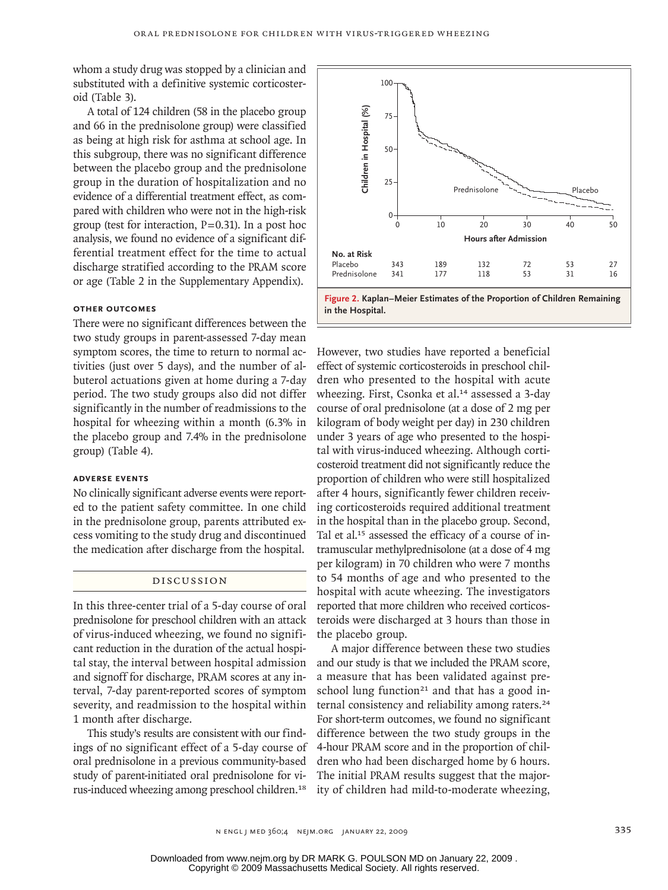whom a study drug was stopped by a clinician and substituted with a definitive systemic corticosteroid (Table 3).

A total of 124 children (58 in the placebo group and 66 in the prednisolone group) were classified as being at high risk for asthma at school age. In this subgroup, there was no significant difference between the placebo group and the prednisolone group in the duration of hospitalization and no evidence of a differential treatment effect, as compared with children who were not in the high-risk group (test for interaction,  $P=0.31$ ). In a post hoc analysis, we found no evidence of a significant differential treatment effect for the time to actual discharge stratified according to the PRAM score or age (Table 2 in the Supplementary Appendix).

#### **Other Outcomes**

There were no significant differences between the two study groups in parent-assessed 7-day mean symptom scores, the time to return to normal activities (just over 5 days), and the number of albuterol actuations given at home during a 7-day period. The two study groups also did not differ significantly in the number of readmissions to the hospital for wheezing within a month (6.3% in the placebo group and 7.4% in the prednisolone group) (Table 4).

#### **Adverse Events**

No clinically significant adverse events were reported to the patient safety committee. In one child in the prednisolone group, parents attributed excess vomiting to the study drug and discontinued the medication after discharge from the hospital.

## Discussion

In this three-center trial of a 5-day course of oral prednisolone for preschool children with an attack of virus-induced wheezing, we found no significant reduction in the duration of the actual hospital stay, the interval between hospital admission and signoff for discharge, PRAM scores at any interval, 7-day parent-reported scores of symptom severity, and readmission to the hospital within 1 month after discharge.

This study's results are consistent with our findings of no significant effect of a 5-day course of oral prednisolone in a previous community-based study of parent-initiated oral prednisolone for virus-induced wheezing among preschool children.<sup>18</sup>



**in the Hospital.** 

However, two studies have reported a beneficial effect of systemic corticosteroids in preschool children who presented to the hospital with acute wheezing. First, Csonka et al.<sup>14</sup> assessed a 3-day where  $\frac{1}{2}$  ms, course of oral prednisolone (at a dose of 2 mg per kilogram of body weight per day) in 230 children under 3 years of age who presented to the hospital with virus-induced wheezing. Although corticosteroid treatment did not significantly reduce the proportion of children who were still hospitalized after 4 hours, significantly fewer children receiving corticosteroids required additional treatment in the hospital than in the placebo group. Second, Tal et al.<sup>15</sup> assessed the efficacy of a course of intramuscular methylprednisolone (at a dose of 4 mg per kilogram) in 70 children who were 7 months to 54 months of age and who presented to the hospital with acute wheezing. The investigators reported that more children who received corticosteroids were discharged at 3 hours than those in the placebo group.

A major difference between these two studies and our study is that we included the PRAM score, a measure that has been validated against preschool lung function<sup>21</sup> and that has a good internal consistency and reliability among raters.<sup>24</sup> For short-term outcomes, we found no significant difference between the two study groups in the 4-hour PRAM score and in the proportion of children who had been discharged home by 6 hours. The initial PRAM results suggest that the majority of children had mild-to-moderate wheezing,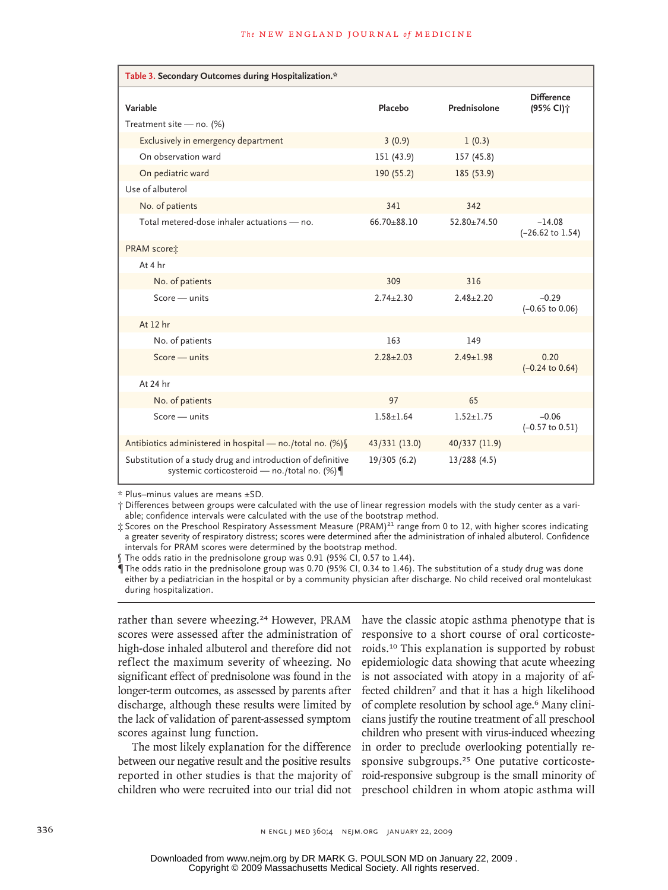| Table 3. Secondary Outcomes during Hospitalization.*                                                       |                 |                 |                                            |
|------------------------------------------------------------------------------------------------------------|-----------------|-----------------|--------------------------------------------|
| Variable<br>Treatment site - no. (%)                                                                       | Placebo         | Prednisolone    | <b>Difference</b><br>(95% CI) <sup>+</sup> |
| Exclusively in emergency department                                                                        | 3(0.9)          | 1(0.3)          |                                            |
| On observation ward                                                                                        | 151 (43.9)      | 157 (45.8)      |                                            |
| On pediatric ward                                                                                          | 190 (55.2)      | 185 (53.9)      |                                            |
| Use of albuterol                                                                                           |                 |                 |                                            |
| No. of patients                                                                                            | 341             | 342             |                                            |
| Total metered-dose inhaler actuations - no.                                                                | $66.70 + 88.10$ | $52.80 + 74.50$ | $-14.08$<br>$(-26.62 \text{ to } 1.54)$    |
| PRAM scoret:                                                                                               |                 |                 |                                            |
| At 4 hr                                                                                                    |                 |                 |                                            |
| No. of patients                                                                                            | 309             | 316             |                                            |
| $Score$ — units                                                                                            | $2.74 + 2.30$   | $2.48 + 2.20$   | $-0.29$<br>$(-0.65 \text{ to } 0.06)$      |
| At 12 hr                                                                                                   |                 |                 |                                            |
| No. of patients                                                                                            | 163             | 149             |                                            |
| Score - units                                                                                              | $2.28 + 2.03$   | $2.49 + 1.98$   | 0.20<br>$(-0.24 \text{ to } 0.64)$         |
| At 24 hr                                                                                                   |                 |                 |                                            |
| No. of patients                                                                                            | 97              | 65              |                                            |
| $Score$ — units                                                                                            | $1.58 + 1.64$   | $1.52 + 1.75$   | $-0.06$<br>$(-0.57 \text{ to } 0.51)$      |
| Antibiotics administered in hospital - no./total no. (%) §                                                 | 43/331 (13.0)   | 40/337 (11.9)   |                                            |
| Substitution of a study drug and introduction of definitive<br>systemic corticosteroid — no./total no. (%) | 19/305 (6.2)    | 13/288(4.5)     |                                            |

\* Plus–minus values are means ±SD.

† Differences between groups were calculated with the use of linear regression models with the study center as a variable; confidence intervals were calculated with the use of the bootstrap method.

 $\ddagger$  Scores on the Preschool Respiratory Assessment Measure (PRAM)<sup>21</sup> range from 0 to 12, with higher scores indicating a greater severity of respiratory distress; scores were determined after the administration of inhaled albuterol. Confidence intervals for PRAM scores were determined by the bootstrap method.

The odds ratio in the prednisolone group was 0.91 (95% CI, 0.57 to 1.44).

¶The odds ratio in the prednisolone group was 0.70 (95% CI, 0.34 to 1.46). The substitution of a study drug was done either by a pediatrician in the hospital or by a community physician after discharge. No child received oral montelukast during hospitalization.

rather than severe wheezing.<sup>24</sup> However, PRAM scores were assessed after the administration of high-dose inhaled albuterol and therefore did not reflect the maximum severity of wheezing. No significant effect of prednisolone was found in the longer-term outcomes, as assessed by parents after discharge, although these results were limited by the lack of validation of parent-assessed symptom scores against lung function.

The most likely explanation for the difference between our negative result and the positive results reported in other studies is that the majority of children who were recruited into our trial did not

have the classic atopic asthma phenotype that is responsive to a short course of oral corticosteroids.10 This explanation is supported by robust epidemiologic data showing that acute wheezing is not associated with atopy in a majority of affected children7 and that it has a high likelihood of complete resolution by school age.6 Many clinicians justify the routine treatment of all preschool children who present with virus-induced wheezing in order to preclude overlooking potentially responsive subgroups.25 One putative corticosteroid-responsive subgroup is the small minority of preschool children in whom atopic asthma will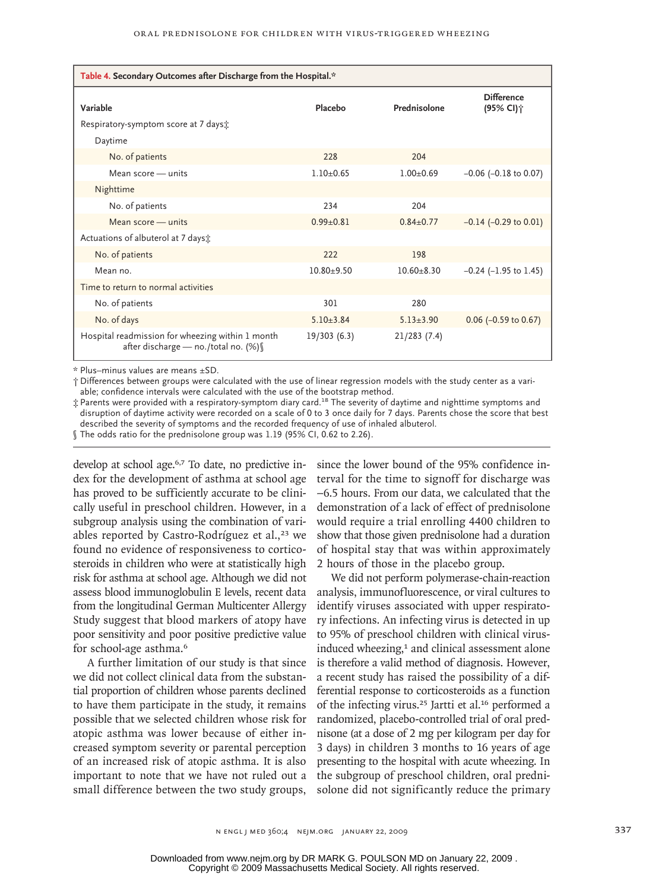| Table 4. Secondary Outcomes after Discharge from the Hospital.*                           |                |                |                                            |
|-------------------------------------------------------------------------------------------|----------------|----------------|--------------------------------------------|
| Variable                                                                                  | Placebo        | Prednisolone   | <b>Difference</b><br>(95% CI) <sup>*</sup> |
| Respiratory-symptom score at 7 days:                                                      |                |                |                                            |
| Daytime                                                                                   |                |                |                                            |
| No. of patients                                                                           | 228            | 204            |                                            |
| Mean score - units                                                                        | $1.10+0.65$    | $1.00+0.69$    | $-0.06$ ( $-0.18$ to 0.07)                 |
| Nighttime                                                                                 |                |                |                                            |
| No. of patients                                                                           | 234            | 204            |                                            |
| Mean score - units                                                                        | $0.99 + 0.81$  | $0.84 + 0.77$  | $-0.14$ ( $-0.29$ to 0.01)                 |
| Actuations of albuterol at 7 days:                                                        |                |                |                                            |
| No. of patients                                                                           | 222            | 198            |                                            |
| Mean no.                                                                                  | $10.80 + 9.50$ | $10.60 + 8.30$ | $-0.24$ ( $-1.95$ to 1.45)                 |
| Time to return to normal activities                                                       |                |                |                                            |
| No. of patients                                                                           | 301            | 280            |                                            |
| No. of days                                                                               | $5.10 + 3.84$  | $5.13 + 3.90$  | $0.06$ (-0.59 to 0.67)                     |
| Hospital readmission for wheezing within 1 month<br>after discharge - no./total no. (%) [ | 19/303(6.3)    | 21/283(7.4)    |                                            |

\* Plus–minus values are means ±SD.

† Differences between groups were calculated with the use of linear regression models with the study center as a variable; confidence intervals were calculated with the use of the bootstrap method.

‡ Parents were provided with a respiratory-symptom diary card.18 The severity of daytime and nighttime symptoms and disruption of daytime activity were recorded on a scale of 0 to 3 once daily for 7 days. Parents chose the score that best described the severity of symptoms and the recorded frequency of use of inhaled albuterol.

§ The odds ratio for the prednisolone group was 1.19 (95% CI, 0.62 to 2.26).

develop at school age.<sup>6,7</sup> To date, no predictive index for the development of asthma at school age has proved to be sufficiently accurate to be clinically useful in preschool children. However, in a subgroup analysis using the combination of variables reported by Castro-Rodríguez et al.,<sup>23</sup> we found no evidence of responsiveness to corticosteroids in children who were at statistically high risk for asthma at school age. Although we did not assess blood immunoglobulin E levels, recent data from the longitudinal German Multicenter Allergy Study suggest that blood markers of atopy have poor sensitivity and poor positive predictive value for school-age asthma.<sup>6</sup>

A further limitation of our study is that since we did not collect clinical data from the substantial proportion of children whose parents declined to have them participate in the study, it remains possible that we selected children whose risk for atopic asthma was lower because of either increased symptom severity or parental perception of an increased risk of atopic asthma. It is also important to note that we have not ruled out a small difference between the two study groups,

since the lower bound of the 95% confidence interval for the time to signoff for discharge was −6.5 hours. From our data, we calculated that the demonstration of a lack of effect of prednisolone would require a trial enrolling 4400 children to show that those given prednisolone had a duration of hospital stay that was within approximately 2 hours of those in the placebo group.

We did not perform polymerase-chain-reaction analysis, immunofluorescence, or viral cultures to identify viruses associated with upper respiratory infections. An infecting virus is detected in up to 95% of preschool children with clinical virusinduced wheezing, $1$  and clinical assessment alone is therefore a valid method of diagnosis. However, a recent study has raised the possibility of a differential response to corticosteroids as a function of the infecting virus.25 Jartti et al.16 performed a randomized, placebo-controlled trial of oral prednisone (at a dose of 2 mg per kilogram per day for 3 days) in children 3 months to 16 years of age presenting to the hospital with acute wheezing. In the subgroup of preschool children, oral prednisolone did not significantly reduce the primary

n engl j med 360;4 nejm.org january 22, 2009 337